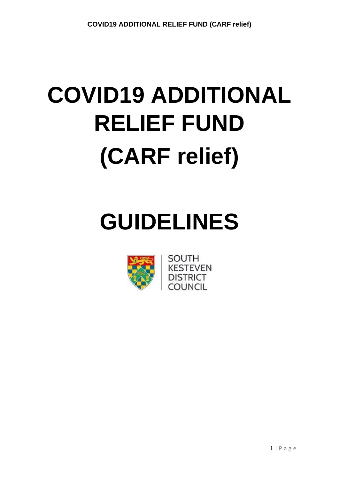# **GUIDELINES**



SOUTH **KESTEVEN DISTRICT** COLINCII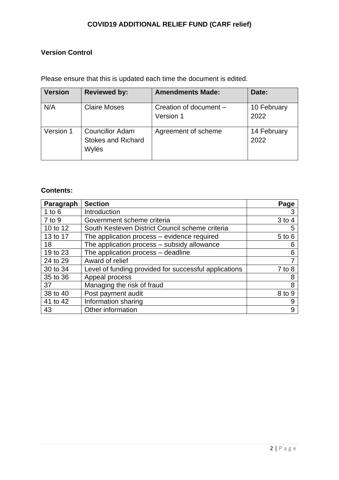# **Version Control**

Please ensure that this is updated each time the document is edited.

| <b>Version</b> | <b>Reviewed by:</b>                                          | <b>Amendments Made:</b>             | Date:               |
|----------------|--------------------------------------------------------------|-------------------------------------|---------------------|
| N/A            | <b>Claire Moses</b>                                          | Creation of document -<br>Version 1 | 10 February<br>2022 |
| Version 1      | <b>Councillor Adam</b><br><b>Stokes and Richard</b><br>Wyles | Agreement of scheme                 | 14 February<br>2022 |

# **Contents:**

| Paragraph  | <b>Section</b>                                        | Page       |
|------------|-------------------------------------------------------|------------|
| 1 to $6$   | Introduction                                          |            |
| $7$ to $9$ | Government scheme criteria                            | $3$ to 4   |
| 10 to 12   | South Kesteven District Council scheme criteria       | 5          |
| 13 to 17   | The application process - evidence required           | $5$ to $6$ |
| 18         | The application process - subsidy allowance           | 6          |
| 19 to 23   | The application process - deadline                    | 6          |
| 24 to 29   | Award of relief                                       |            |
| 30 to 34   | Level of funding provided for successful applications | $7$ to $8$ |
| 35 to 36   | Appeal process                                        | 8          |
| 37         | Managing the risk of fraud                            | 8          |
| 38 to 40   | Post payment audit                                    | 8 to 9     |
| 41 to 42   | Information sharing                                   | 9          |
| 43         | Other information                                     | 9          |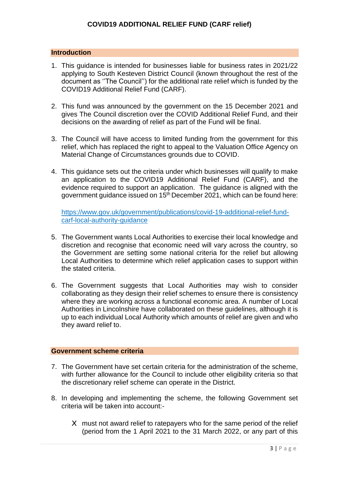#### **Introduction**

- 1. This guidance is intended for businesses liable for business rates in 2021/22 applying to South Kesteven District Council (known throughout the rest of the document as ''The Council'') for the additional rate relief which is funded by the COVID19 Additional Relief Fund (CARF).
- 2. This fund was announced by the government on the 15 December 2021 and gives The Council discretion over the COVID Additional Relief Fund, and their decisions on the awarding of relief as part of the Fund will be final.
- 3. The Council will have access to limited funding from the government for this relief, which has replaced the right to appeal to the Valuation Office Agency on Material Change of Circumstances grounds due to COVID.
- 4. This guidance sets out the criteria under which businesses will qualify to make an application to the COVID19 Additional Relief Fund (CARF), and the evidence required to support an application. The guidance is aligned with the government guidance issued on 15<sup>th</sup> December 2021, which can be found here:

[https://www.gov.uk/government/publications/covid-19-additional-relief-fund](https://www.gov.uk/government/publications/covid-19-additional-relief-fund-carf-local-authority-guidance)[carf-local-authority-guidance](https://www.gov.uk/government/publications/covid-19-additional-relief-fund-carf-local-authority-guidance)

- 5. The Government wants Local Authorities to exercise their local knowledge and discretion and recognise that economic need will vary across the country, so the Government are setting some national criteria for the relief but allowing Local Authorities to determine which relief application cases to support within the stated criteria.
- 6. The Government suggests that Local Authorities may wish to consider collaborating as they design their relief schemes to ensure there is consistency where they are working across a functional economic area. A number of Local Authorities in Lincolnshire have collaborated on these guidelines, although it is up to each individual Local Authority which amounts of relief are given and who they award relief to.

#### **Government scheme criteria**

- 7. The Government have set certain criteria for the administration of the scheme, with further allowance for the Council to include other eligibility criteria so that the discretionary relief scheme can operate in the District.
- 8. In developing and implementing the scheme, the following Government set criteria will be taken into account:-
	- X must not award relief to ratepayers who for the same period of the relief (period from the 1 April 2021 to the 31 March 2022, or any part of this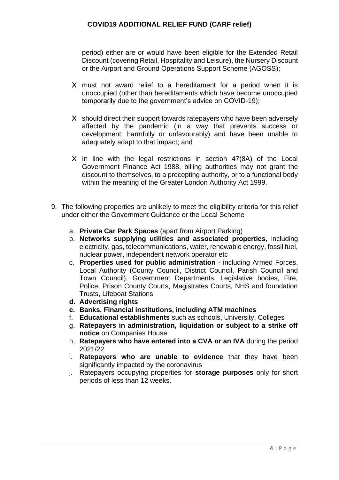period) either are or would have been eligible for the Extended Retail Discount (covering Retail, Hospitality and Leisure), the Nursery Discount or the Airport and Ground Operations Support Scheme (AGOSS);

- X must not award relief to a hereditament for a period when it is unoccupied (other than hereditaments which have become unoccupied temporarily due to the government's advice on COVID-19);
- X should direct their support towards ratepayers who have been adversely affected by the pandemic (in a way that prevents success or development; harmfully or unfavourably) and have been unable to adequately adapt to that impact; and
- X In line with the legal restrictions in section 47(8A) of the Local Government Finance Act 1988, billing authorities may not grant the discount to themselves, to a precepting authority, or to a functional body within the meaning of the Greater London Authority Act 1999.
- 9. The following properties are unlikely to meet the eligibility criteria for this relief under either the Government Guidance or the Local Scheme
	- a. **Private Car Park Spaces** (apart from Airport Parking)
	- b. **Networks supplying utilities and associated properties**, including electricity, gas, telecommunications, water, renewable energy, fossil fuel, nuclear power, independent network operator etc
	- c. **Properties used for public administration** including Armed Forces, Local Authority (County Council, District Council, Parish Council and Town Council), Government Departments, Legislative bodies, Fire, Police, Prison County Courts, Magistrates Courts, NHS and foundation Trusts, Lifeboat Stations
	- **d. Advertising rights**
	- **e. Banks, Financial institutions, including ATM machines**
	- f. **Educational establishments** such as schools, University, Colleges
	- g. **Ratepayers in administration, liquidation or subject to a strike off notice** on Companies House
	- h. **Ratepayers who have entered into a CVA or an IVA** during the period 2021/22
	- i. **Ratepayers who are unable to evidence** that they have been significantly impacted by the coronavirus
	- j. Ratepayers occupying properties for **storage purposes** only for short periods of less than 12 weeks.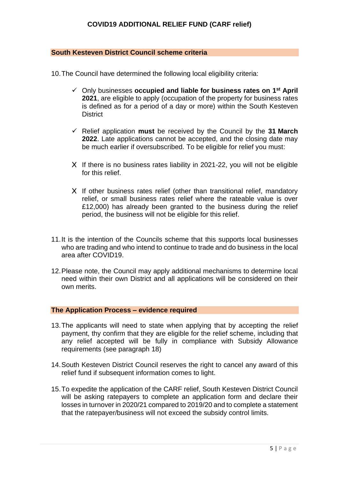#### **South Kesteven District Council scheme criteria**

10.The Council have determined the following local eligibility criteria:

- ✓ Only businesses **occupied and liable for business rates on 1 st April 2021**, are eligible to apply (occupation of the property for business rates is defined as for a period of a day or more) within the South Kesteven **District**
- ✓ Relief application **must** be received by the Council by the **31 March 2022**. Late applications cannot be accepted, and the closing date may be much earlier if oversubscribed. To be eligible for relief you must:
- X If there is no business rates liability in 2021-22, you will not be eligible for this relief.
- X If other business rates relief (other than transitional relief, mandatory relief, or small business rates relief where the rateable value is over £12,000) has already been granted to the business during the relief period, the business will not be eligible for this relief.
- 11.It is the intention of the Councils scheme that this supports local businesses who are trading and who intend to continue to trade and do business in the local area after COVID19.
- 12.Please note, the Council may apply additional mechanisms to determine local need within their own District and all applications will be considered on their own merits.

#### **The Application Process – evidence required**

- 13.The applicants will need to state when applying that by accepting the relief payment, thy confirm that they are eligible for the relief scheme, including that any relief accepted will be fully in compliance with Subsidy Allowance requirements (see paragraph 18)
- 14.South Kesteven District Council reserves the right to cancel any award of this relief fund if subsequent information comes to light.
- 15.To expedite the application of the CARF relief, South Kesteven District Council will be asking ratepayers to complete an application form and declare their losses in turnover in 2020/21 compared to 2019/20 and to complete a statement that the ratepayer/business will not exceed the subsidy control limits.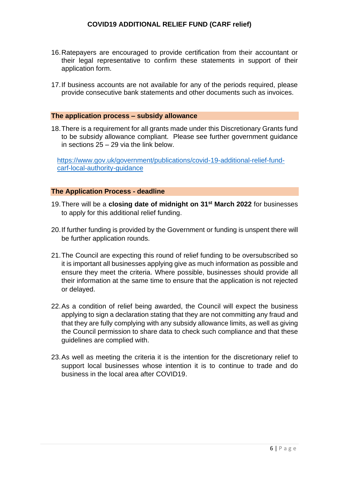- 16.Ratepayers are encouraged to provide certification from their accountant or their legal representative to confirm these statements in support of their application form.
- 17.If business accounts are not available for any of the periods required, please provide consecutive bank statements and other documents such as invoices.

#### **The application process – subsidy allowance**

18.There is a requirement for all grants made under this Discretionary Grants fund to be subsidy allowance compliant. Please see further government guidance in sections 25 – 29 via the link below.

[https://www.gov.uk/government/publications/covid-19-additional-relief-fund](https://www.gov.uk/government/publications/covid-19-additional-relief-fund-carf-local-authority-guidance)[carf-local-authority-guidance](https://www.gov.uk/government/publications/covid-19-additional-relief-fund-carf-local-authority-guidance)

#### **The Application Process - deadline**

- 19.There will be a **closing date of midnight on 31st March 2022** for businesses to apply for this additional relief funding.
- 20.If further funding is provided by the Government or funding is unspent there will be further application rounds.
- 21.The Council are expecting this round of relief funding to be oversubscribed so it is important all businesses applying give as much information as possible and ensure they meet the criteria. Where possible, businesses should provide all their information at the same time to ensure that the application is not rejected or delayed.
- 22.As a condition of relief being awarded, the Council will expect the business applying to sign a declaration stating that they are not committing any fraud and that they are fully complying with any subsidy allowance limits, as well as giving the Council permission to share data to check such compliance and that these guidelines are complied with.
- 23.As well as meeting the criteria it is the intention for the discretionary relief to support local businesses whose intention it is to continue to trade and do business in the local area after COVID19.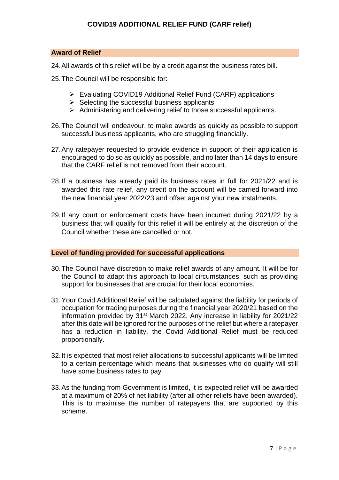#### **Award of Relief**

- 24.All awards of this relief will be by a credit against the business rates bill.
- 25.The Council will be responsible for:
	- ➢ Evaluating COVID19 Additional Relief Fund (CARF) applications
	- $\triangleright$  Selecting the successful business applicants
	- ➢ Administering and delivering relief to those successful applicants.
- 26.The Council will endeavour, to make awards as quickly as possible to support successful business applicants, who are struggling financially.
- 27.Any ratepayer requested to provide evidence in support of their application is encouraged to do so as quickly as possible, and no later than 14 days to ensure that the CARF relief is not removed from their account.
- 28.If a business has already paid its business rates in full for 2021/22 and is awarded this rate relief, any credit on the account will be carried forward into the new financial year 2022/23 and offset against your new instalments.
- 29.If any court or enforcement costs have been incurred during 2021/22 by a business that will qualify for this relief it will be entirely at the discretion of the Council whether these are cancelled or not.

#### **Level of funding provided for successful applications**

- 30.The Council have discretion to make relief awards of any amount. It will be for the Council to adapt this approach to local circumstances, such as providing support for businesses that are crucial for their local economies.
- 31.Your Covid Additional Relief will be calculated against the liability for periods of occupation for trading purposes during the financial year 2020/21 based on the information provided by 31st March 2022. Any increase in liability for 2021/22 after this date will be ignored for the purposes of the relief but where a ratepayer has a reduction in liability, the Covid Additional Relief must be reduced proportionally.
- 32.It is expected that most relief allocations to successful applicants will be limited to a certain percentage which means that businesses who do qualify will still have some business rates to pay
- 33.As the funding from Government is limited, it is expected relief will be awarded at a maximum of 20% of net liability (after all other reliefs have been awarded). This is to maximise the number of ratepayers that are supported by this scheme.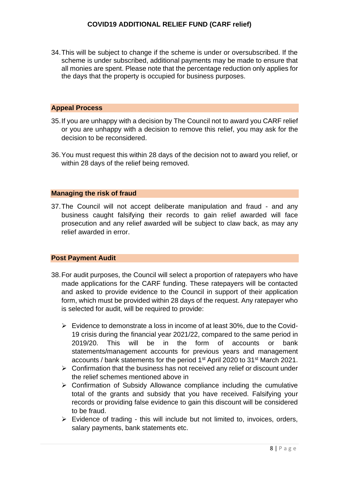34.This will be subject to change if the scheme is under or oversubscribed. If the scheme is under subscribed, additional payments may be made to ensure that all monies are spent. Please note that the percentage reduction only applies for the days that the property is occupied for business purposes.

#### **Appeal Process**

- 35.If you are unhappy with a decision by The Council not to award you CARF relief or you are unhappy with a decision to remove this relief, you may ask for the decision to be reconsidered.
- 36.You must request this within 28 days of the decision not to award you relief, or within 28 days of the relief being removed.

#### **Managing the risk of fraud**

37.The Council will not accept deliberate manipulation and fraud - and any business caught falsifying their records to gain relief awarded will face prosecution and any relief awarded will be subject to claw back, as may any relief awarded in error.

#### **Post Payment Audit**

- 38.For audit purposes, the Council will select a proportion of ratepayers who have made applications for the CARF funding. These ratepayers will be contacted and asked to provide evidence to the Council in support of their application form, which must be provided within 28 days of the request. Any ratepayer who is selected for audit, will be required to provide:
	- $\triangleright$  Evidence to demonstrate a loss in income of at least 30%, due to the Covid-19 crisis during the financial year 2021/22, compared to the same period in 2019/20. This will be in the form of accounts or bank statements/management accounts for previous years and management accounts / bank statements for the period 1st April 2020 to 31st March 2021.
	- $\triangleright$  Confirmation that the business has not received any relief or discount under the relief schemes mentioned above in
	- $\triangleright$  Confirmation of Subsidy Allowance compliance including the cumulative total of the grants and subsidy that you have received. Falsifying your records or providing false evidence to gain this discount will be considered to be fraud.
	- $\triangleright$  Evidence of trading this will include but not limited to, invoices, orders, salary payments, bank statements etc.